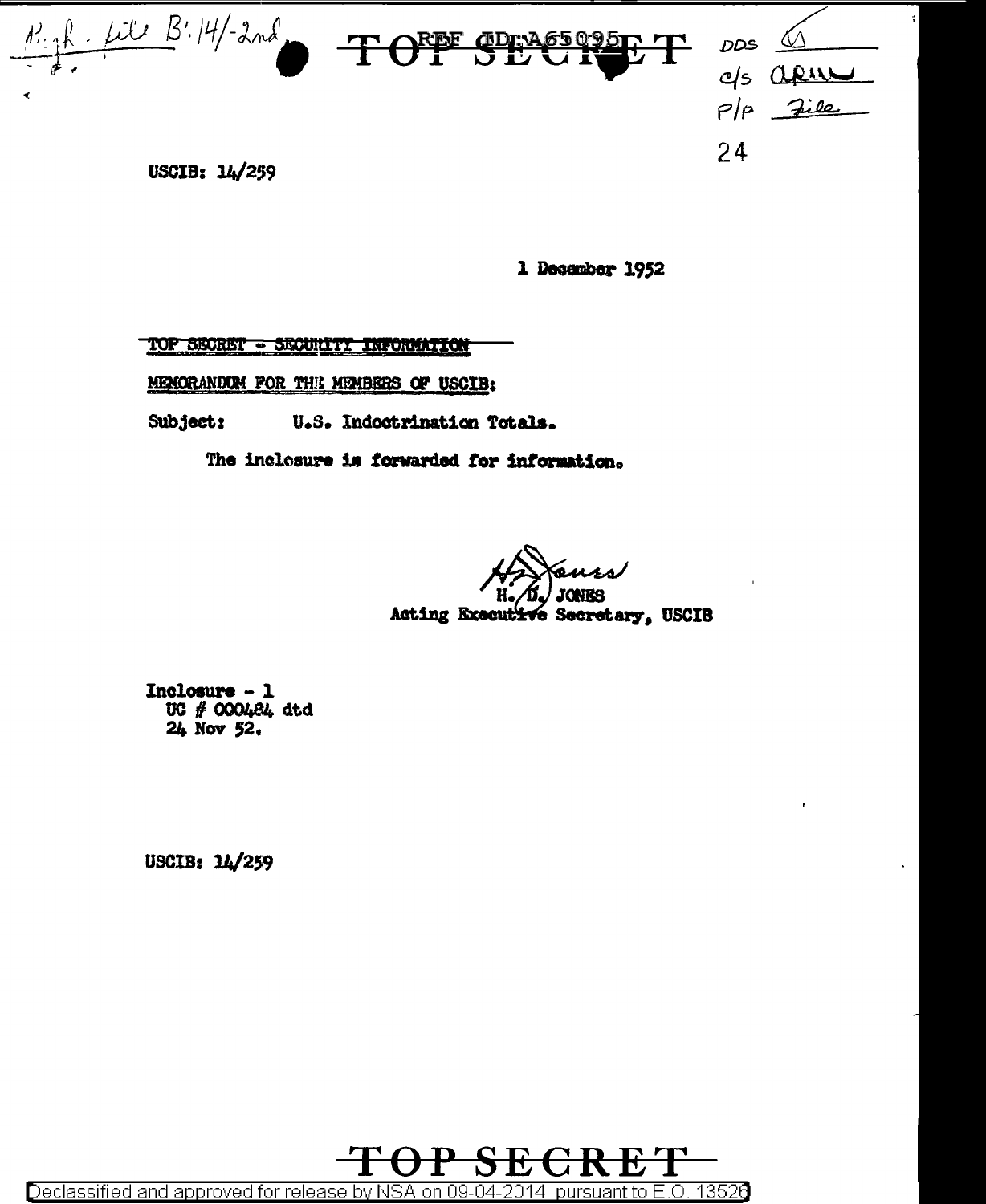

1 December 1952

TOP SECRET - SECURITY INFORMATION

MENORANDUM FOR THE MEMBERS OF USCIB:

Subject; U.S. Indoctrination Totals.

The inclosure is forwarded for information.

Acting Executive Secretary, USCIB

Inclosure  $-1$ UC # 000484 dtd  $24$  Nov  $52$ .

USCIB: 14/259

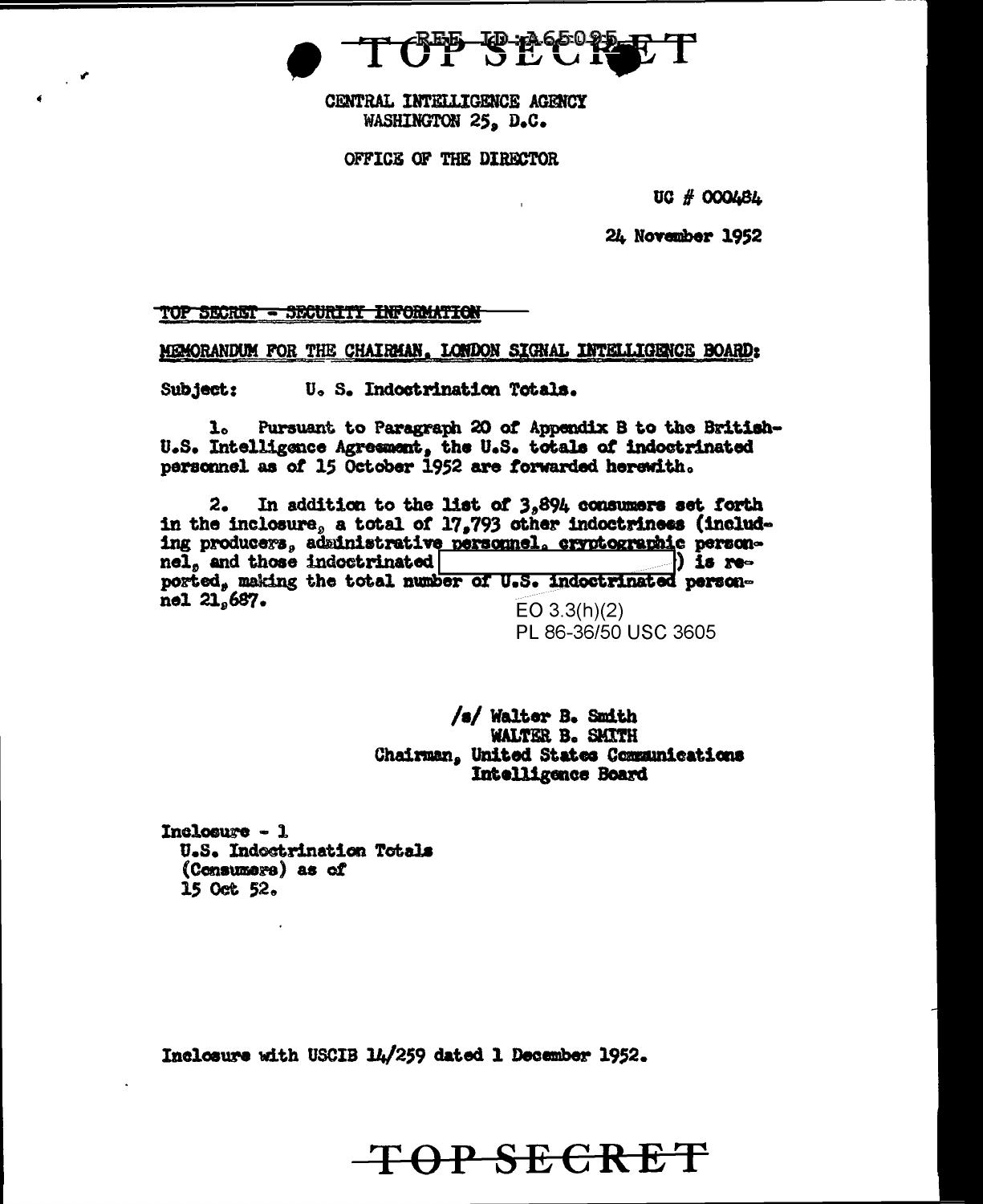CENTRAL INTELLIGENCE AGRNCY WASHINGTON 25. D.C.

OFFICE OF THE DIRECTOR

UC # OOOLBL

24 November 1952

TOP SECRET - SECURITI INFORMATION

MEMORANDUM FOR THE CHAIRMAN, LONDON SIGNAL INTELLIGENCE BOARD:

Subject: U. S. Indostrination Totals.

ı. Pursuant to Paragraph 20 of Appendix B to the British-U.S. Intelligence Agreement, the U.S. totals of indoctrinated personnel as of 15 October 1952 are forwarded herewith.

In addition to the list of  $3,894$  consumers set forth 2. in the inclosure, a total of 17,793 other indoctriness (including producers, administrative personnel, cryptographic personnel, and those indoctrinated ) is reported, making the total number of U.S. indoctrinated personnel 21.687.  $EO 3.3(h)(2)$ 

PL 86-36/50 USC 3605

/s/ Walter B. Smith WALTER B. SMITH Chairman, United States Communications Intelligence Board

OP SECRET

Inclosure  $-1$ U.S. Indostrination Totals (Consumers) as of 15 Oct 52.

Inclosure with USCIB 14/259 dated 1 December 1952.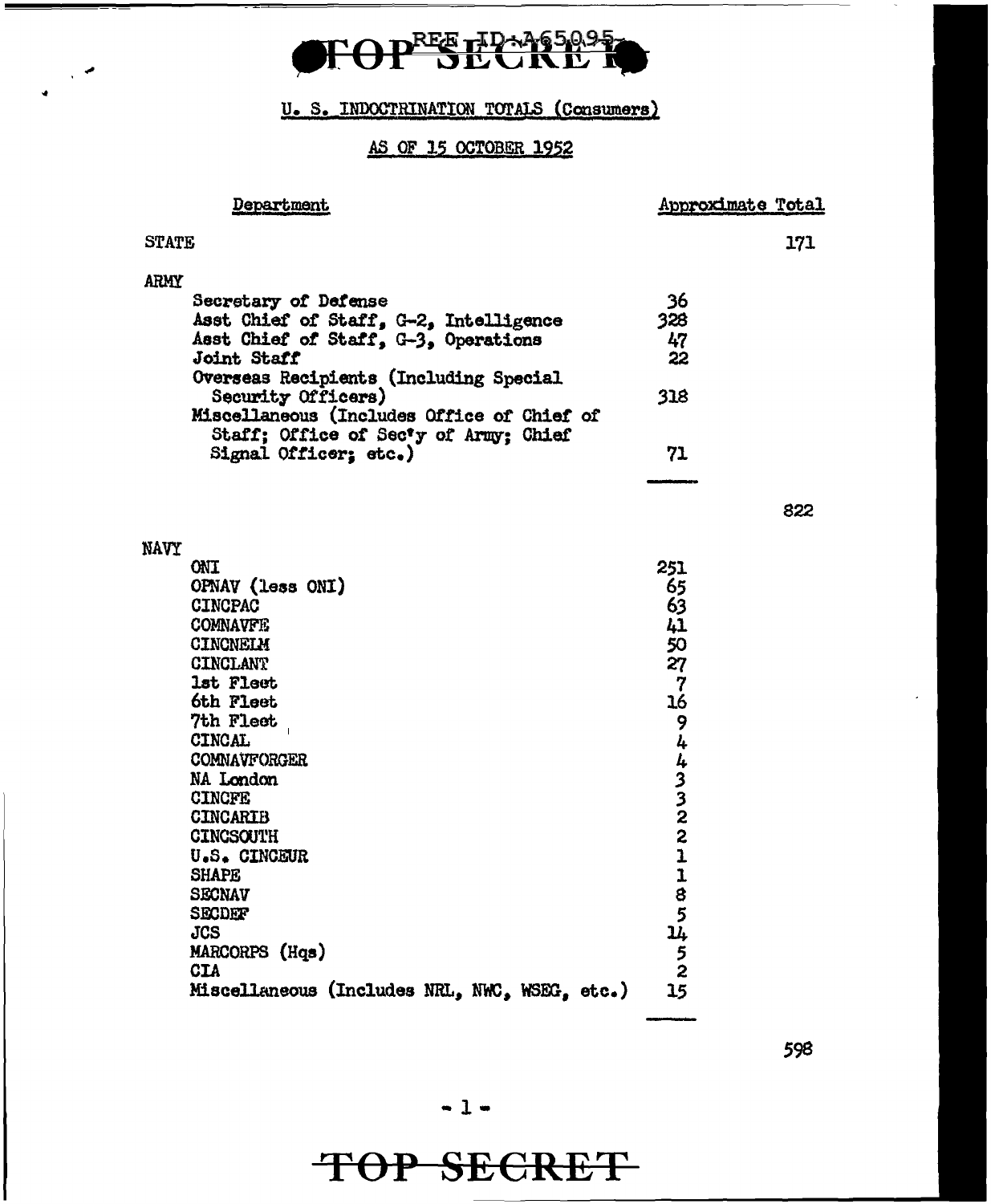

### U. S. INDOCTRINATION TOTALS (Consumers)

 $\mathbb{R}^2$ 

#### AS OF 15 OCTOBER 1952

| <b>Department</b>                                                                                                                                                                                                                                                                                                                                                                                                                             | Approximate Total                                                                                                   |     |
|-----------------------------------------------------------------------------------------------------------------------------------------------------------------------------------------------------------------------------------------------------------------------------------------------------------------------------------------------------------------------------------------------------------------------------------------------|---------------------------------------------------------------------------------------------------------------------|-----|
| <b>STATE</b>                                                                                                                                                                                                                                                                                                                                                                                                                                  |                                                                                                                     | 171 |
| ARMY<br>Secretary of Defense<br>Asst Chief of Staff, G-2, Intelligence<br>Asst Chief of Staff, G-3, Operations<br>Joint Staff<br>Overseas Recipients (Including Special<br>Security Officers)<br>Miscellaneous (Includes Office of Chief of<br>Staff; Office of Secty of Army; Chief<br>Signal Officer; etc.)                                                                                                                                 | 36<br>328<br>47<br>22<br>318<br>71                                                                                  |     |
|                                                                                                                                                                                                                                                                                                                                                                                                                                               |                                                                                                                     | 822 |
| <b>NAVY</b><br><b>ONT</b><br>OPNAV (less ONI)<br><b>CINCPAC</b><br><b>COMNAVFE</b><br><b>CINCNELM</b><br>CINCLANT<br>1st Fleet<br>6th Fleet<br><b>7th Flect</b><br><b>CINCAL</b><br><b>COMNAVFORGER</b><br>NA London<br><b>CINCFE</b><br><b>CINCARIB</b><br><b>CINCSOUTH</b><br><b>U.S. CINCEUR</b><br><b>SHAPE</b><br><b>SECNAV</b><br>SECDEF<br><b>JCS</b><br>MARCORPS (Hqs)<br><b>CIA</b><br>Miscellaneous (Includes NRL, NWC, WSEG, etc.) | 251<br>65<br>63<br>41<br>50<br>27<br>7<br>16<br>9<br>4433221<br>$\mathbf{I}$<br>8<br>5<br>14<br>$\frac{5}{2}$<br>15 |     |

598

### TOP SECRET